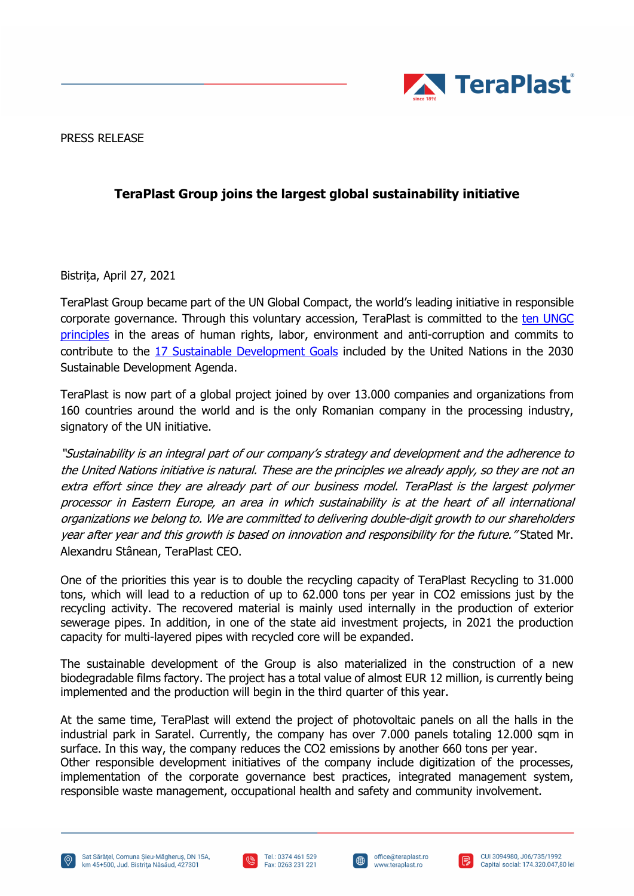

PRESS RELEASE

## **TeraPlast Group joins the largest global sustainability initiative**

Bistrița, April 27, 2021

TeraPlast Group became part of the UN Global Compact, the world's leading initiative in responsible corporate governance. Through this voluntary accession, TeraPlast is committed to the ten UNGC [principles](https://www.unglobalcompact.org/what-is-gc/mission/principles) in the areas of human rights, labor, environment and anti-corruption and commits to contribute to the [17 Sustainable Development Goals](https://sdgs.un.org/goals) included by the United Nations in the 2030 Sustainable Development Agenda.

TeraPlast is now part of a global project joined by over 13.000 companies and organizations from 160 countries around the world and is the only Romanian company in the processing industry, signatory of the UN initiative.

"Sustainability is an integral part of our company's strategy and development and the adherence to the United Nations initiative is natural. These are the principles we already apply, so they are not an extra effort since they are already part of our business model. TeraPlast is the largest polymer processor in Eastern Europe, an area in which sustainability is at the heart of all international organizations we belong to. We are committed to delivering double-digit growth to our shareholders year after year and this growth is based on innovation and responsibility for the future. "Stated Mr. Alexandru Stânean, TeraPlast CEO.

One of the priorities this year is to double the recycling capacity of TeraPlast Recycling to 31.000 tons, which will lead to a reduction of up to 62.000 tons per year in CO2 emissions just by the recycling activity. The recovered material is mainly used internally in the production of exterior sewerage pipes. In addition, in one of the state aid investment projects, in 2021 the production capacity for multi-layered pipes with recycled core will be expanded.

The sustainable development of the Group is also materialized in the construction of a new biodegradable films factory. The project has a total value of almost EUR 12 million, is currently being implemented and the production will begin in the third quarter of this year.

At the same time, TeraPlast will extend the project of photovoltaic panels on all the halls in the industrial park in Saratel. Currently, the company has over 7.000 panels totaling 12.000 sqm in surface. In this way, the company reduces the CO2 emissions by another 660 tons per year. Other responsible development initiatives of the company include digitization of the processes, implementation of the corporate governance best practices, integrated management system, responsible waste management, occupational health and safety and community involvement.